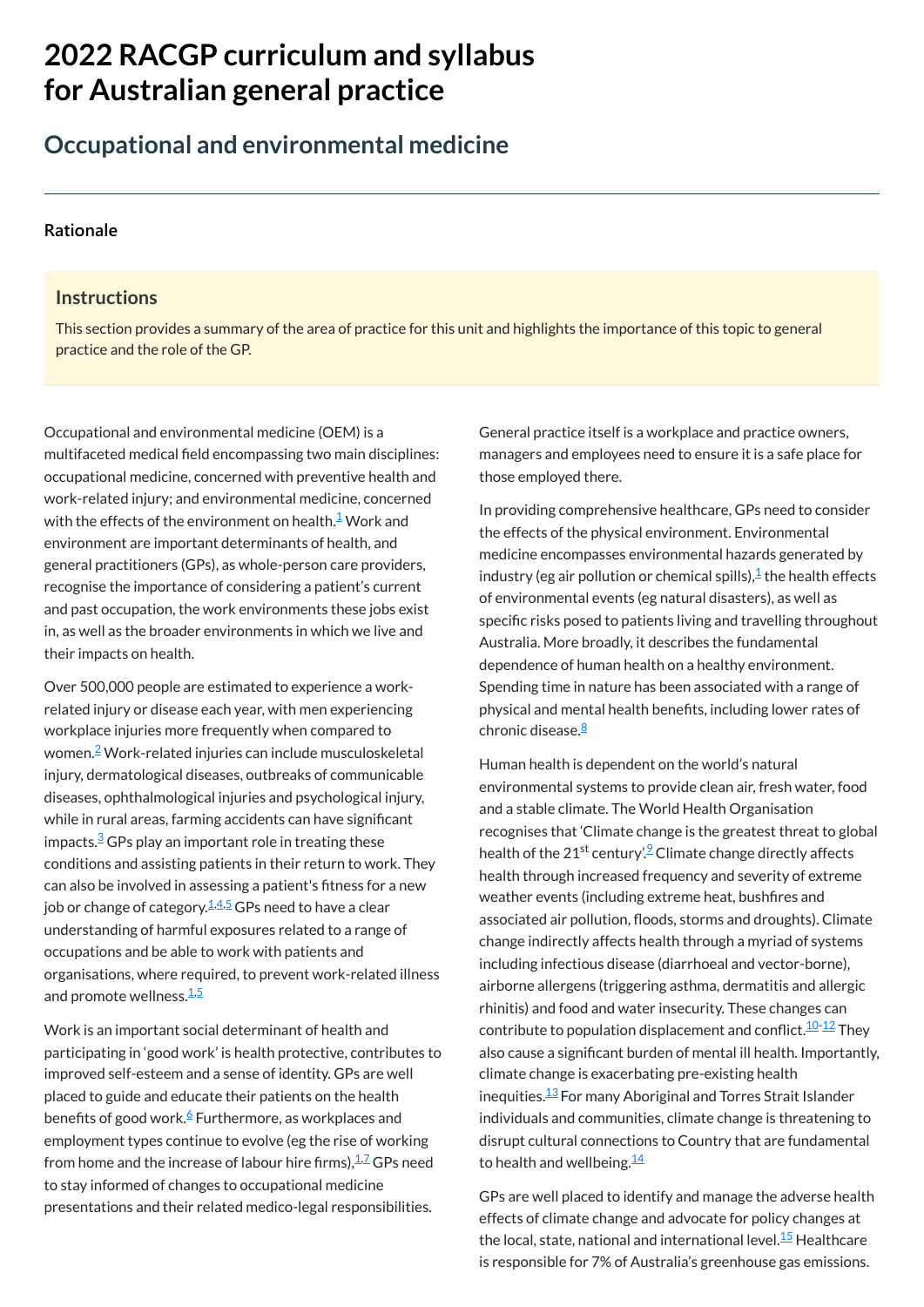# **2022 RACGP curriculum and syllabus for Australian [general practice](https://www.racgp.org.au/Curriculum-and-Syllabus/home)**

## **Occupational and environmental medicine**

#### **[Rationale](javascript:void(0))**

#### **Instructions**

This section provides a summary of the area of practice for this unit and highlights the importance of this topic to general practice and the role of the GP.

Occupational and environmental medicine (OEM) is a multifaceted medical field encompassing two main disciplines: occupational medicine, concerned with preventive health and work-related injury; and environmental medicine, concerned with the effects of the environment on health. $^\mathsf{1}\mathsf{W}$  $^\mathsf{1}\mathsf{W}$  $^\mathsf{1}\mathsf{W}$ ork and environment are important determinants of health, and general practitioners (GPs), as whole-person care providers, recognise the importance of considering a patient's current and past occupation, the work environments these jobs exist in, as well as the broader environments in which we live and their impacts on health.

In providing comprehensive healthcare, GPs need to consider the effects of the physical environment. Environmental medicine encompasses environmental hazards generated by industry (eg air pollution or chemical spills), $\frac{1}{\epsilon}$  $\frac{1}{\epsilon}$  $\frac{1}{\epsilon}$ the health effects of environmental events (eg natural disasters), as well as specific risks posed to patients living and travelling throughout Australia. More broadly, it describes the fundamental dependence of human health on a healthy environment. Spending time in nature has been associated with a range of physical and mental health benefits, including lower rates of chronic disease.<sup><u>[8](#page-1-7)</u></sup>

Over 500,000 people are estimated to experience a workrelated injury or disease each year, with men experiencing workplace injuries more frequently when compared to women.<sup>[2](#page-1-1)</sup> Work-related injuries can include musculoskeletal injury, dermatological diseases, outbreaks of communicable diseases, ophthalmological injuries and psychological injury, while in rural areas, farming accidents can have significant impacts. $\frac{3}{5}$  $\frac{3}{5}$  $\frac{3}{5}$ GPs play an important role in treating these conditions and assisting patients in their return to work. They can also be involved in assessing a patient's fitness for a new job or change of category.<sup>[1,](#page-1-0)[4](#page-1-3)[,5](#page-1-4)</sup> GPs need to have a clear understanding of harmful exposures related to a range of occupations and be able to work with patients and organisations, where required, to prevent work-related illness

Human health is dependent on the world's natural environmental systems to provide clean air, fresh water, food and a stable climate. The World Health Organisation recognises that 'Climate change is the greatest threat to global health of the 21<sup>st</sup> century'. <sup>[9](#page-1-8)</sup> Climate change directly affects health through increased frequency and severity of extreme weather events (including extreme heat, bushfires and associated air pollution, floods, storms and droughts). Climate change indirectly affects health through a myriad of systems including infectious disease (diarrhoeal and vector-borne), airborne allergens (triggering asthma, dermatitis and allergic rhinitis) and food and water insecurity. These changes can contribute to population displacement and conflict. $^{10\text{--}12}$  $^{10\text{--}12}$  $^{10\text{--}12}$  $^{10\text{--}12}$  $^{10\text{--}12}$  They also cause a significant burden of mental ill health. Importantly, climate change is exacerbating pre-existing health inequities.<sup>[13](#page-1-11)</sup> For many Aboriginal and Torres Strait Islander individuals and communities, climate change is threatening to disrupt cultural connections to Country that are fundamental to health and wellbeing. $^{\underline{14}}$  $^{\underline{14}}$  $^{\underline{14}}$ 

#### and promote wellness.<sup>[1,](#page-1-0)[5](#page-1-4)</sup>

Work is an important social determinant of health and participating in 'good work' is health protective, contributes to improved self-esteem and a sense of identity. GPs are well placed to guide and educate their patients on the health benefits of good work.<sup>[6](#page-1-5)</sup> Furthermore, as workplaces and employment types continue to evolve (eg the rise of working from home and the increase of labour hire firms), $\frac{1.7}{1.2}$  $\frac{1.7}{1.2}$  $\frac{1.7}{1.2}$  GPs need to stay informed of changes to occupational medicine presentations and their related medico-legal responsibilities.

General practice itself is a workplace and practice owners, managers and employees need to ensure it is a safe place for those employed there.

GPs are well placed to identify and manage the adverse health effects of climate change and advocate for policy changes at the local, state, national and international level.<sup>[15](#page-1-13)</sup> Healthcare is responsible for 7% of Australia's greenhouse gas emissions.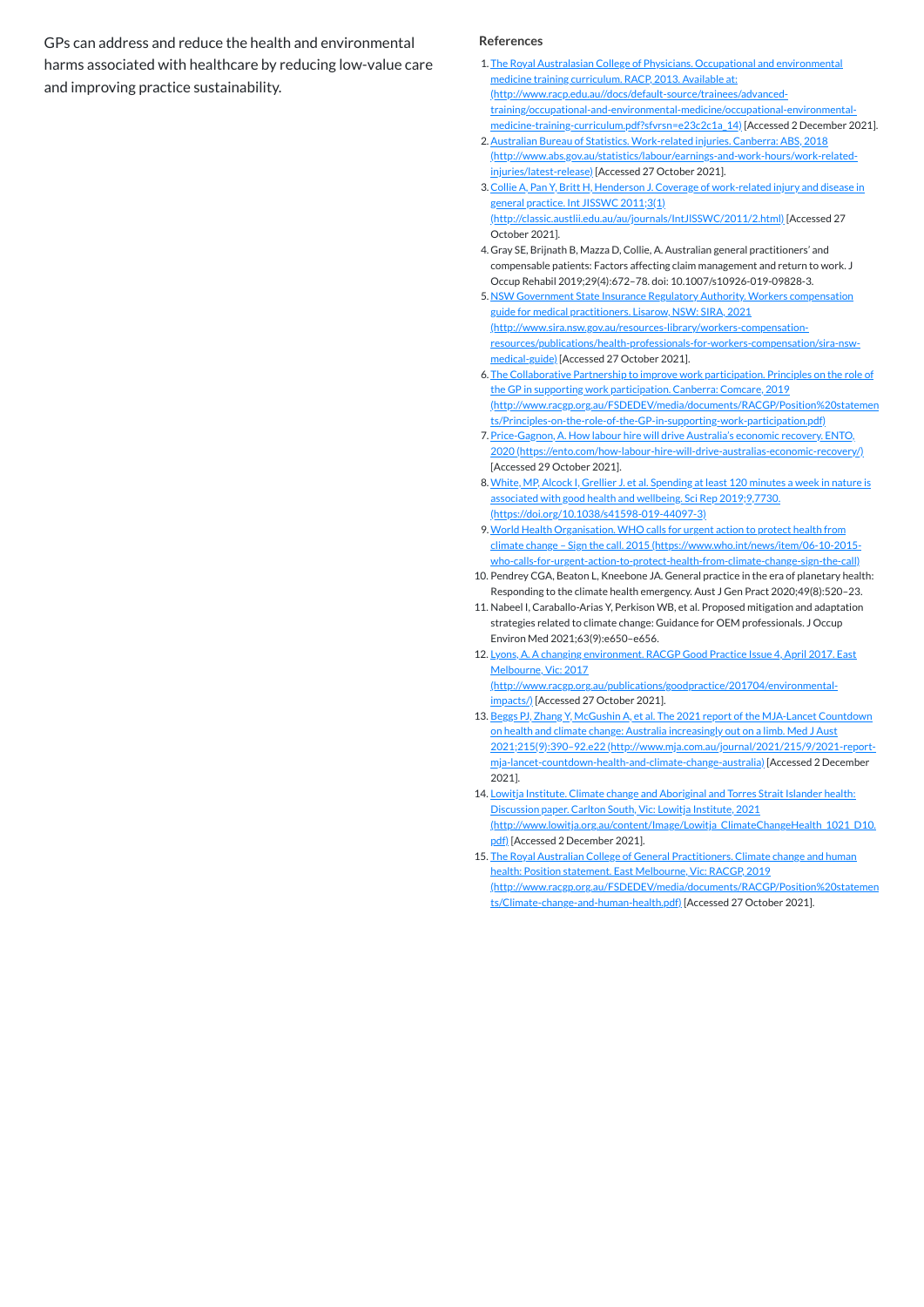GPs can address and reduce the health and environmental harms associated with healthcare by reducing low-value care and improving practice sustainability.

#### **References**

- <span id="page-1-0"></span>1. The Royal Australasian College of Physicians. Occupational and environmental medicine training curriculum. RACP, 2013. Available at: (http://www.racp.edu.au//docs/default-source/trainees/advanced[training/occupational-and-environmental-medicine/occupational-environmental](http://www.racp.edu.au//docs/default-source/trainees/advanced-training/occupational-and-environmental-medicine/occupational-environmental-medicine-training-curriculum.pdf?sfvrsn=e23c2c1a_14)medicine-training-curriculum.pdf?sfvrsn=e23c2c1a\_14) [Accessed 2 December 2021].
- <span id="page-1-1"></span>2.Australian Bureau of Statistics. Work-related injuries. Canberra: ABS, 2018 [\(http://www.abs.gov.au/statistics/labour/earnings-and-work-hours/work-related](http://www.abs.gov.au/statistics/labour/earnings-and-work-hours/work-related-injuries/latest-release)injuries/latest-release) [Accessed 27 October 2021].
- <span id="page-1-2"></span>3.Collie A, Pan Y, Britt H, Henderson J. Coverage of work-related injury and disease in general practice. Int JISSWC 2011;3(1) [\(http://classic.austlii.edu.au/au/journals/IntJlSSWC/2011/2.html\)](http://classic.austlii.edu.au/au/journals/IntJlSSWC/2011/2.html) [Accessed 27 October 2021].
- <span id="page-1-3"></span>4. Gray SE, Brijnath B, Mazza D, Collie, A. Australian general practitioners' and compensable patients: Factors affecting claim management and return to work. J Occup Rehabil 2019;29(4):672–78. doi: 10.1007/s10926-019-09828-3.
- <span id="page-1-4"></span>5. NSW Government State Insurance Regulatory Authority. Workers compensation guide for medical practitioners. Lisarow, NSW: SIRA, 2021 (http://www.sira.nsw.gov.au/resources-library/workers-compensation[resources/publications/health-professionals-for-workers-compensation/sira-nsw](http://www.sira.nsw.gov.au/resources-library/workers-compensation-resources/publications/health-professionals-for-workers-compensation/sira-nsw-medical-guide)medical-guide) [Accessed 27 October 2021].
- <span id="page-1-5"></span>6. The Collaborative Partnership to improve work participation. Principles on the role of the GP in supporting work participation. Canberra: Comcare, 2019 [\(http://www.racgp.org.au/FSDEDEV/media/documents/RACGP/Position%20statemen](http://www.racgp.org.au/FSDEDEV/media/documents/RACGP/Position%20statements/Principles-on-the-role-of-the-GP-in-supporting-work-participation.pdf) ts/Principles-on-the-role-of-the-GP-in-supporting-work-participation.pdf)
- <span id="page-1-6"></span>7. Price-Gagnon, A. How labour hire will drive Australia's economic recovery. ENTO, 2020 [\(https://ento.com/how-labour-hire-will-drive-australias-economic-recovery/\)](https://ento.com/how-labour-hire-will-drive-australias-economic-recovery/) [Accessed 29 October 2021].
- <span id="page-1-7"></span>8.White, MP, Alcock I, Grellier J. et al. Spending at least 120 minutes a week in nature is associated with good health and wellbeing. Sci Rep 2019;9,7730. [\(https://doi.org/10.1038/s41598-019-44097-3\)](https://doi.org/10.1038/s41598-019-44097-3)
- <span id="page-1-8"></span>9.World Health Organisation. WHO calls for urgent action to protect health from climate change – Sign the call. 2015 (https://www.who.int/news/item/06-10-2015 [who-calls-for-urgent-action-to-protect-health-from-climate-change-sign-the-call\)](https://www.who.int/news/item/06-10-2015-who-calls-for-urgent-action-to-protect-health-from-climate-change-sign-the-call)
- <span id="page-1-9"></span>10. Pendrey CGA, Beaton L, Kneebone JA. General practice in the era of planetary health: Responding to the climate health emergency. Aust J Gen Pract 2020;49(8):520–23.
- 11. Nabeel I, Caraballo-Arias Y, Perkison WB, et al. Proposed mitigation and adaptation strategies related to climate change: Guidance for OEM professionals. J Occup Environ Med 2021;63(9):e650–e656.
- <span id="page-1-10"></span>12. Lyons, A. A changing environment. RACGP Good Practice Issue 4, April 2017. East Melbourne, Vic: 2017 [\(http://www.racgp.org.au/publications/goodpractice/201704/environmental](http://www.racgp.org.au/publications/goodpractice/201704/environmental-impacts/)impacts/) [Accessed 27 October 2021].
- <span id="page-1-11"></span>13. Beggs PJ, Zhang Y, McGushin A, et al. The 2021 report of the MJA-Lancet Countdown on health and climate change: Australia increasingly out on a limb. Med J Aust 2021;215(9):390–92.e22 (http://www.mja.com.au/journal/2021/215/9/2021-report[mja-lancet-countdown-health-and-climate-change-australia\)](http://www.mja.com.au/journal/2021/215/9/2021-report-mja-lancet-countdown-health-and-climate-change-australia) [Accessed 2 December 2021].
- <span id="page-1-12"></span>14. Lowitja Institute. Climate change and Aboriginal and Torres Strait Islander health: Discussion paper. Carlton South, Vic: Lowitja Institute, 2021 [\(http://www.lowitja.org.au/content/Image/Lowitja\\_ClimateChangeHealth\\_1021\\_D10.](http://www.lowitja.org.au/content/Image/Lowitja_ClimateChangeHealth_1021_D10.pdf) pdf) [Accessed 2 December 2021].
- <span id="page-1-13"></span>15. The Royal Australian College of General Practitioners. Climate change and human health: Position statement. East Melbourne, Vic: RACGP, 2019 [\(http://www.racgp.org.au/FSDEDEV/media/documents/RACGP/Position%20statemen](http://www.racgp.org.au/FSDEDEV/media/documents/RACGP/Position%20statements/Climate-change-and-human-health.pdf) ts/Climate-change-and-human-health.pdf) [Accessed 27 October 2021].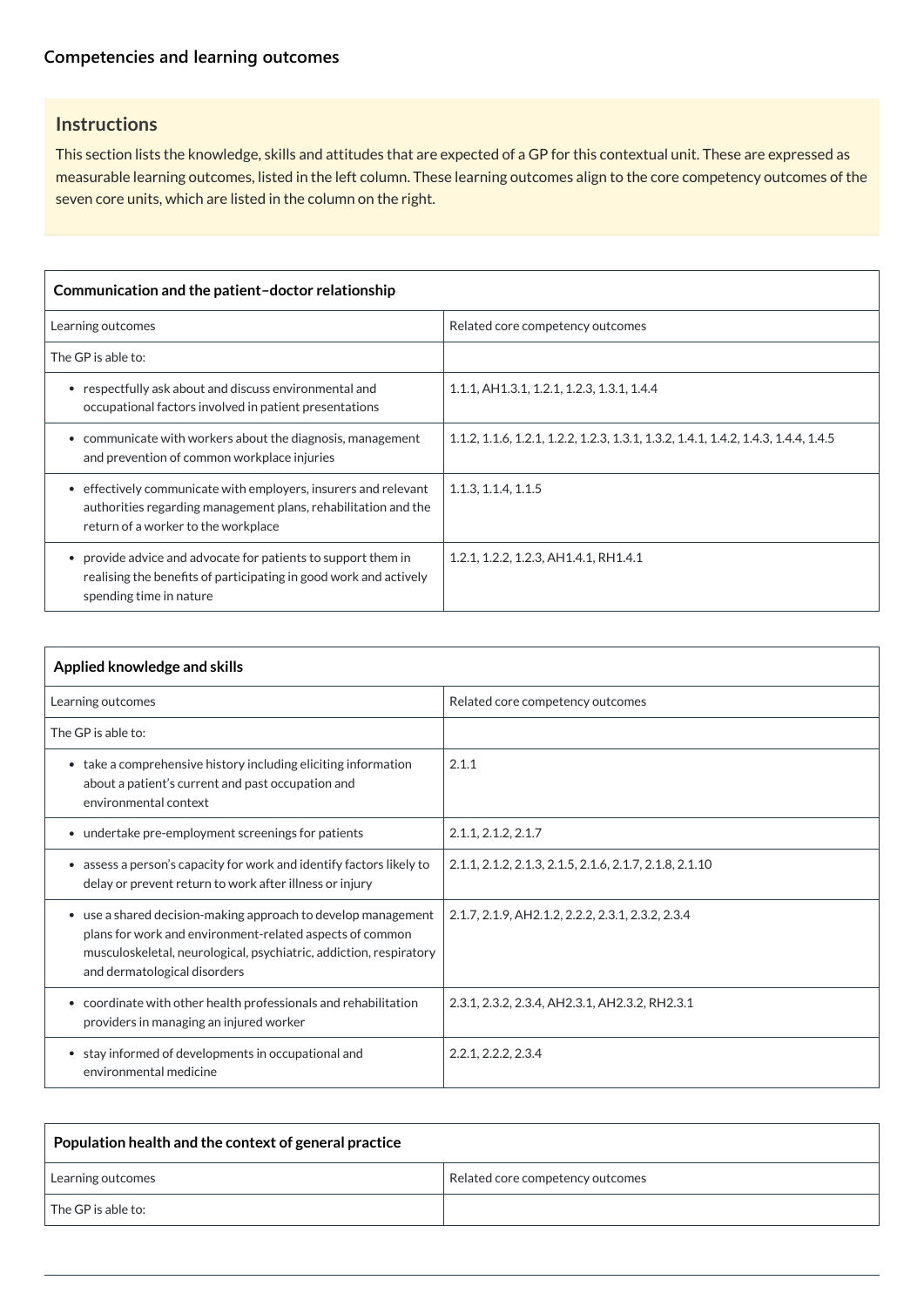## **[Competencies and learning outcomes](javascript:void(0))**

## **Instructions**

This section lists the knowledge, skills and attitudes that are expected of a GP for this contextual unit. These are expressed as measurable learning outcomes, listed in the left column. These learning outcomes align to the core competency outcomes of the seven core units, which are listed in the column on the right.

| Communication and the patient-doctor relationship                                                                                                                                   |                                                                                    |  |
|-------------------------------------------------------------------------------------------------------------------------------------------------------------------------------------|------------------------------------------------------------------------------------|--|
| Learning outcomes                                                                                                                                                                   | Related core competency outcomes                                                   |  |
| The GP is able to:                                                                                                                                                                  |                                                                                    |  |
| respectfully ask about and discuss environmental and<br>occupational factors involved in patient presentations                                                                      | 1.1.1, AH 1.3.1, 1.2.1, 1.2.3, 1.3.1, 1.4.4                                        |  |
| communicate with workers about the diagnosis, management<br>$\bullet$<br>and prevention of common workplace injuries                                                                | 1.1.2, 1.1.6, 1.2.1, 1.2.2, 1.2.3, 1.3.1, 1.3.2, 1.4.1, 1.4.2, 1.4.3, 1.4.4, 1.4.5 |  |
| effectively communicate with employers, insurers and relevant<br>$\bullet$<br>authorities regarding management plans, rehabilitation and the<br>return of a worker to the workplace | 1.1.3, 1.1.4, 1.1.5                                                                |  |
| provide advice and advocate for patients to support them in<br>$\bullet$<br>realising the benefits of participating in good work and actively<br>spending time in nature            | 1.2.1, 1.2.2, 1.2.3, AH1.4.1, RH1.4.1                                              |  |

| Applied knowledge and skills                                                                                                                                                                                                    |                                                         |
|---------------------------------------------------------------------------------------------------------------------------------------------------------------------------------------------------------------------------------|---------------------------------------------------------|
| Learning outcomes                                                                                                                                                                                                               | Related core competency outcomes                        |
| The GP is able to:                                                                                                                                                                                                              |                                                         |
| • take a comprehensive history including eliciting information<br>about a patient's current and past occupation and<br>environmental context                                                                                    | 2.1.1                                                   |
| • undertake pre-employment screenings for patients                                                                                                                                                                              | 2.1.1, 2.1.2, 2.1.7                                     |
| assess a person's capacity for work and identify factors likely to<br>$\bullet$<br>delay or prevent return to work after illness or injury                                                                                      | 2.1.1, 2.1.2, 2.1.3, 2.1.5, 2.1.6, 2.1.7, 2.1.8, 2.1.10 |
| • use a shared decision-making approach to develop management<br>plans for work and environment-related aspects of common<br>musculoskeletal, neurological, psychiatric, addiction, respiratory<br>and dermatological disorders | 2.1.7, 2.1.9, AH2.1.2, 2.2.2, 2.3.1, 2.3.2, 2.3.4       |
| • coordinate with other health professionals and rehabilitation<br>providers in managing an injured worker                                                                                                                      | 2.3.1, 2.3.2, 2.3.4, AH2.3.1, AH2.3.2, RH2.3.1          |
| • stay informed of developments in occupational and<br>environmental medicine                                                                                                                                                   | 2.2.1, 2.2.2, 2.3.4                                     |

| Population health and the context of general practice |                                  |
|-------------------------------------------------------|----------------------------------|
| Learning outcomes                                     | Related core competency outcomes |
| <sup>1</sup> The GP is able to:                       |                                  |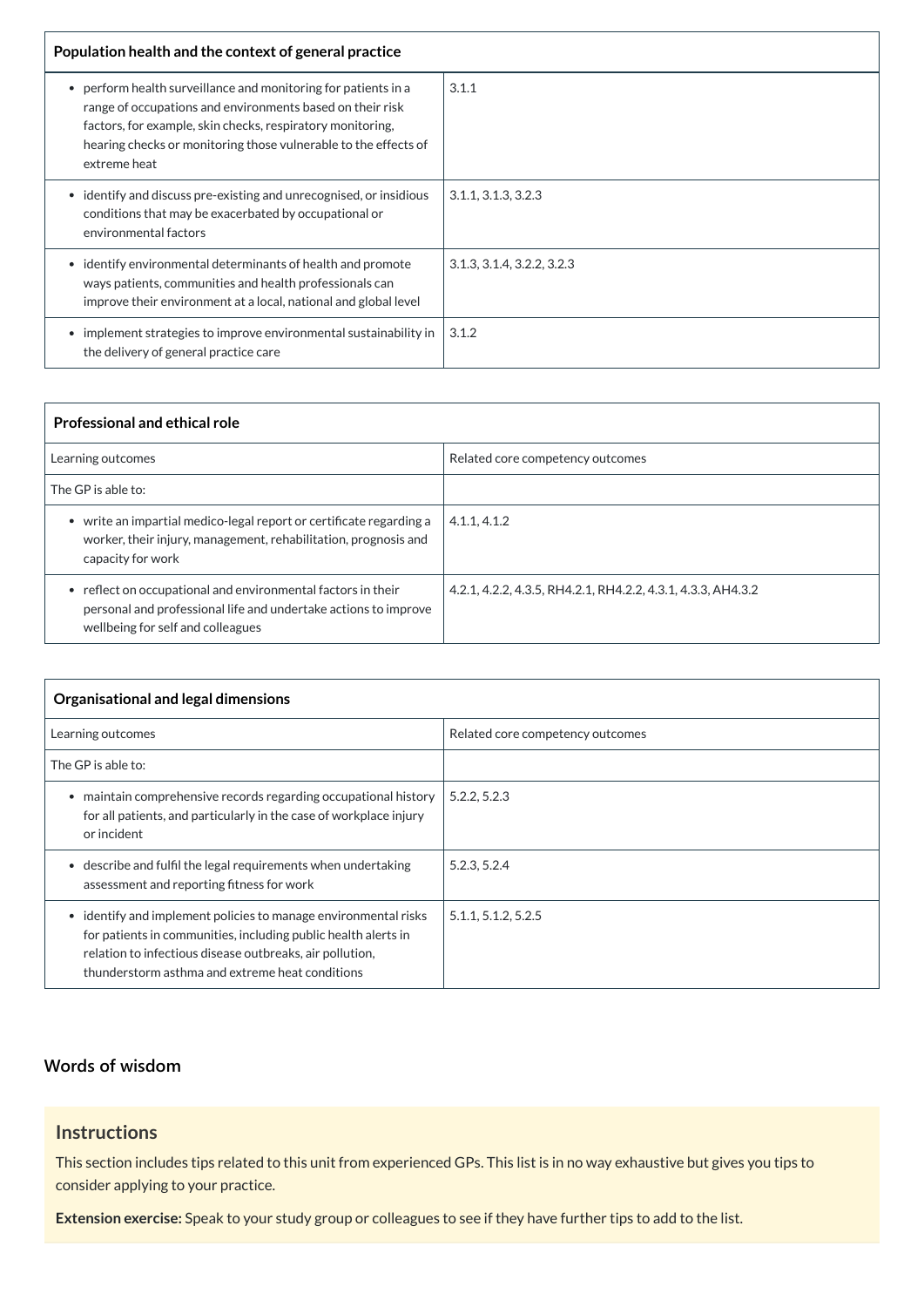| Population health and the context of general practice                                                                                                                                                                                                                      |                            |
|----------------------------------------------------------------------------------------------------------------------------------------------------------------------------------------------------------------------------------------------------------------------------|----------------------------|
| perform health surveillance and monitoring for patients in a<br>range of occupations and environments based on their risk<br>factors, for example, skin checks, respiratory monitoring,<br>hearing checks or monitoring those vulnerable to the effects of<br>extreme heat | 3.1.1                      |
| identify and discuss pre-existing and unrecognised, or insidious<br>conditions that may be exacerbated by occupational or<br>environmental factors                                                                                                                         | 3.1.1, 3.1.3, 3.2.3        |
| identify environmental determinants of health and promote<br>ways patients, communities and health professionals can<br>improve their environment at a local, national and global level                                                                                    | 3.1.3, 3.1.4, 3.2.2, 3.2.3 |
| implement strategies to improve environmental sustainability in<br>the delivery of general practice care                                                                                                                                                                   | 3.1.2                      |

| <b>Professional and ethical role</b>                                                                                                                               |                                                              |
|--------------------------------------------------------------------------------------------------------------------------------------------------------------------|--------------------------------------------------------------|
| Learning outcomes                                                                                                                                                  | Related core competency outcomes                             |
| The GP is able to:                                                                                                                                                 |                                                              |
| • write an impartial medico-legal report or certificate regarding a<br>worker, their injury, management, rehabilitation, prognosis and<br>capacity for work        | 4.1.1, 4.1.2                                                 |
| reflect on occupational and environmental factors in their<br>personal and professional life and undertake actions to improve<br>wellbeing for self and colleagues | 4.2.1, 4.2.2, 4.3.5, RH4.2.1, RH4.2.2, 4.3.1, 4.3.3, AH4.3.2 |

| Organisational and legal dimensions                                                                                                                                                                                                                         |                                  |  |
|-------------------------------------------------------------------------------------------------------------------------------------------------------------------------------------------------------------------------------------------------------------|----------------------------------|--|
| Learning outcomes                                                                                                                                                                                                                                           | Related core competency outcomes |  |
| The GP is able to:                                                                                                                                                                                                                                          |                                  |  |
| maintain comprehensive records regarding occupational history<br>for all patients, and particularly in the case of workplace injury<br>or incident                                                                                                          | 5.2.2, 5.2.3                     |  |
| describe and fulfil the legal requirements when undertaking<br>$\bullet$<br>assessment and reporting fitness for work                                                                                                                                       | 5.2.3, 5.2.4                     |  |
| identify and implement policies to manage environmental risks<br>$\bullet$<br>for patients in communities, including public health alerts in<br>relation to infectious disease outbreaks, air pollution,<br>thunderstorm asthma and extreme heat conditions | 5.1.1, 5.1.2, 5.2.5              |  |

## **[Words of wisdom](javascript:void(0))**

## **Instructions**

This section includes tips related to this unit from experienced GPs. This list is in no way exhaustive but gives you tips to consider applying to your practice.

**Extension exercise:** Speak to your study group or colleagues to see if they have further tips to add to the list.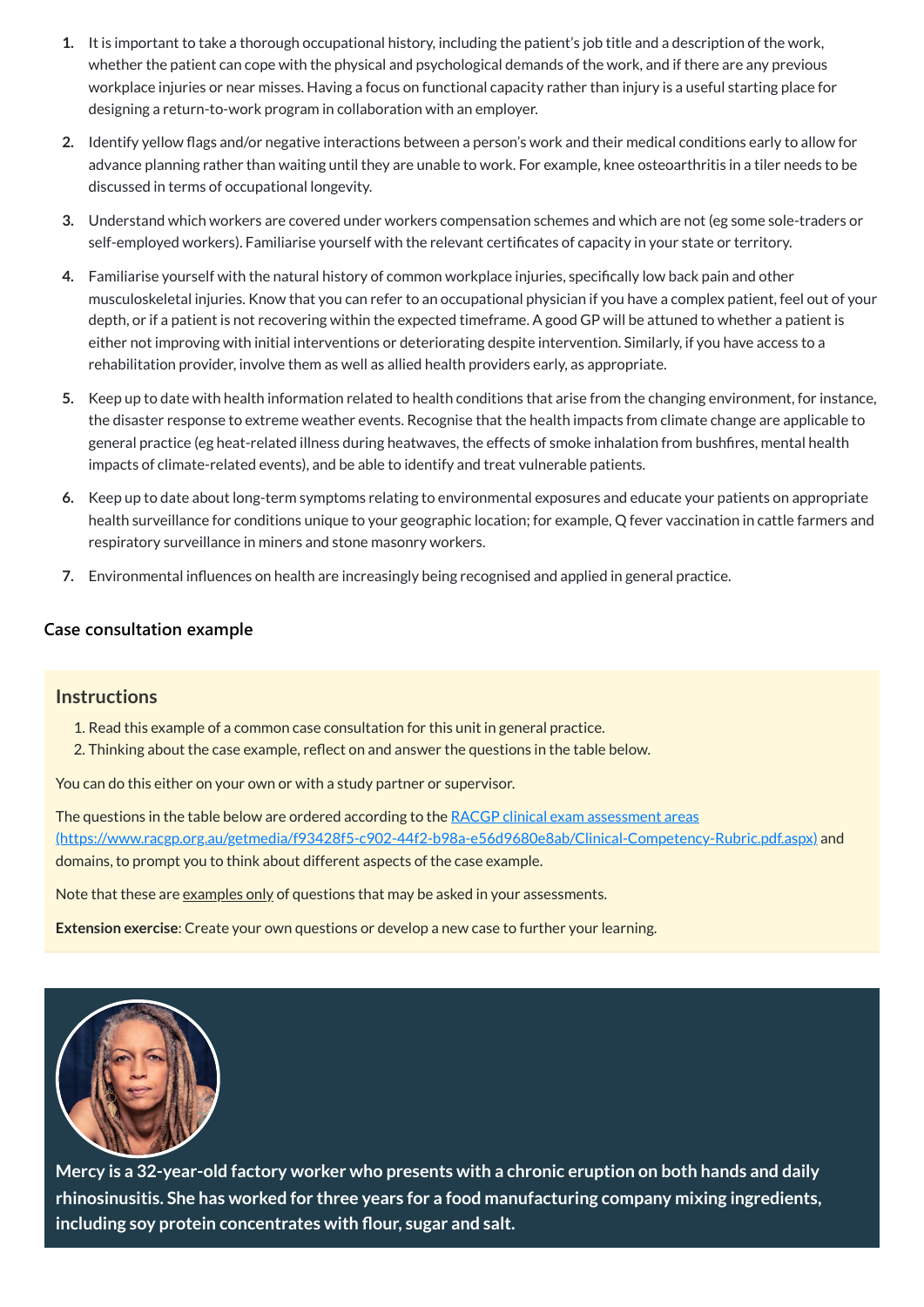- **1.** It is important to take a thorough occupational history, including the patient's job title and a description of the work, whether the patient can cope with the physical and psychological demands of the work, and if there are any previous workplace injuries or near misses. Having a focus on functional capacity rather than injury is a useful starting place for designing a return-to-work program in collaboration with an employer.
- **2.** Identify yellow flags and/or negative interactions between a person's work and their medical conditions early to allow for advance planning rather than waiting until they are unable to work. For example, knee osteoarthritis in a tiler needs to be discussed in terms of occupational longevity.
- **3.** Understand which workers are covered under workers compensation schemes and which are not (eg some sole-traders or self-employed workers). Familiarise yourself with the relevant certificates of capacity in your state or territory.
- **4.** Familiarise yourself with the natural history of common workplace injuries, specifically low back pain and other musculoskeletal injuries. Know that you can refer to an occupational physician if you have a complex patient, feel out of your depth, or if a patient is not recovering within the expected timeframe. A good GP will be attuned to whether a patient is either not improving with initial interventions or deteriorating despite intervention. Similarly, if you have access to a rehabilitation provider, involve them as well as allied health providers early, as appropriate.
- **5.** Keep up to date with health information related to health conditions that arise from the changing environment, for instance, the disaster response to extreme weather events. Recognise that the health impacts from climate change are applicable to general practice (eg heat-related illness during heatwaves, the effects of smoke inhalation from bushfires, mental health impacts of climate-related events), and be able to identify and treat vulnerable patients.
- **6.** Keep up to date about long-term symptoms relating to environmental exposures and educate your patients on appropriate health surveillance for conditions unique to your geographic location; for example, Q fever vaccination in cattle farmers and respiratory surveillance in miners and stone masonry workers.
- **7.** Environmental influences on health are increasingly being recognised and applied in general practice.

The questions in the table below are ordered according to the RACGP clinical exam assessment areas [\(https://www.racgp.org.au/getmedia/f93428f5-c902-44f2-b98a-e56d9680e8ab/Clinical-Competency-Rubric.pdf.aspx\)](https://www.racgp.org.au/getmedia/f93428f5-c902-44f2-b98a-e56d9680e8ab/Clinical-Competency-Rubric.pdf.aspx) and domains, to prompt you to think about different aspects of the case example.

Note that these are examples only of questions that may be asked in your assessments.

#### **[Case consultation example](javascript:void(0))**

#### **Instructions**

- 1. Read this example of a common case consultation for this unit in general practice.
- 2. Thinking about the case example, reflect on and answer the questions in the table below.

You can do this either on your own or with a study partner or supervisor.

**Extension exercise**: Create your own questions or develop a new case to further your learning.



**Mercy is a 32-year-old factory worker who presents with a chronic eruption on both hands and daily rhinosinusitis. She has worked for three years for a food manufacturing company mixing ingredients, including soy protein concentrates with flour, sugar and salt.**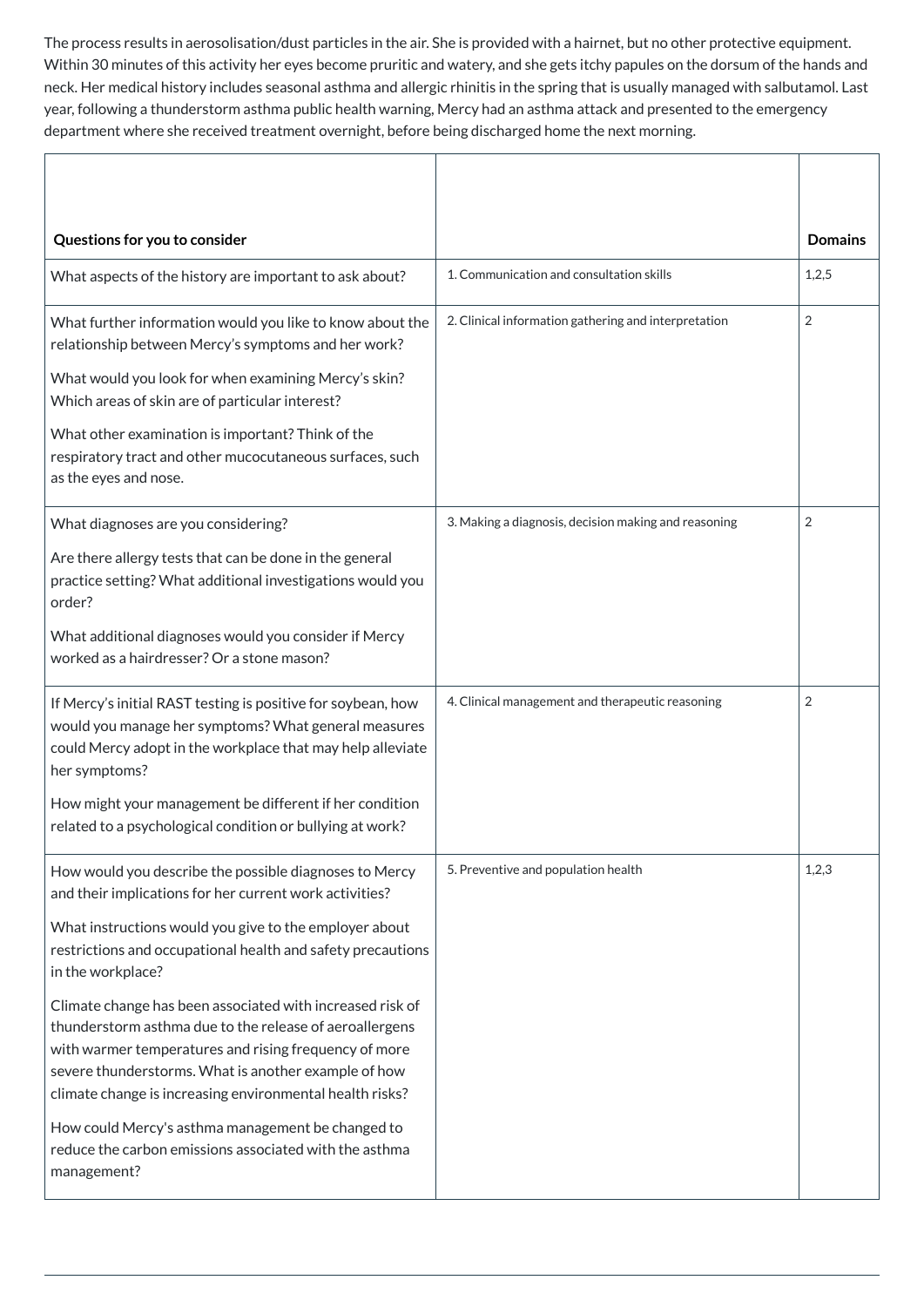The process results in aerosolisation/dust particles in the air. She is provided with a hairnet, but no other protective equipment. Within 30 minutes of this activity her eyes become pruritic and watery, and she gets itchy papules on the dorsum of the hands and neck. Her medical history includes seasonal asthma and allergic rhinitis in the spring that is usually managed with salbutamol. Last year, following a thunderstorm asthma public health warning, Mercy had an asthma attack and presented to the emergency department where she received treatment overnight, before being discharged home the next morning.

| Questions for you to consider                                                                                                                                                                                                   |                                                      | <b>Domains</b> |
|---------------------------------------------------------------------------------------------------------------------------------------------------------------------------------------------------------------------------------|------------------------------------------------------|----------------|
| What aspects of the history are important to ask about?                                                                                                                                                                         | 1. Communication and consultation skills             | 1,2,5          |
| What further information would you like to know about the<br>relationship between Mercy's symptoms and her work?<br>What would you look for when examining Mercy's skin?                                                        | 2. Clinical information gathering and interpretation | $\overline{2}$ |
| Which areas of skin are of particular interest?<br>What other examination is important? Think of the<br>respiratory tract and other mucocutaneous surfaces, such<br>as the eyes and nose.                                       |                                                      |                |
| What diagnoses are you considering?<br>Are there allergy tests that can be done in the general<br>practice setting? What additional investigations would you<br>order?<br>What additional diagnoses would you consider if Mercy | 3. Making a diagnosis, decision making and reasoning | $\overline{2}$ |
| worked as a hairdresser? Or a stone mason?                                                                                                                                                                                      |                                                      |                |
| If Mercy's initial RAST testing is positive for soybean, how<br>would you manage her symptoms? What general measures<br>could Mercy adopt in the workplace that may help alleviate<br>her symptoms?                             | 4. Clinical management and therapeutic reasoning     | $\overline{2}$ |
| How might your management be different if her condition<br>related to a psychological condition or bullying at work?                                                                                                            |                                                      |                |
| How would you describe the possible diagnoses to Mercy<br>and their implications for her current work activities?                                                                                                               | 5. Preventive and population health                  | 1,2,3          |
| What instructions would you give to the employer about<br>restrictions and occupational health and safety precautions<br>in the workplace?                                                                                      |                                                      |                |

Climate change has been associated with increased risk of thunderstorm asthma due to the release of aeroallergens with warmer temperatures and rising frequency of more severe thunderstorms. What is another example of how climate change is increasing environmental health risks? How could Mercy's asthma management be changed to reduce the carbon emissions associated with the asthma management?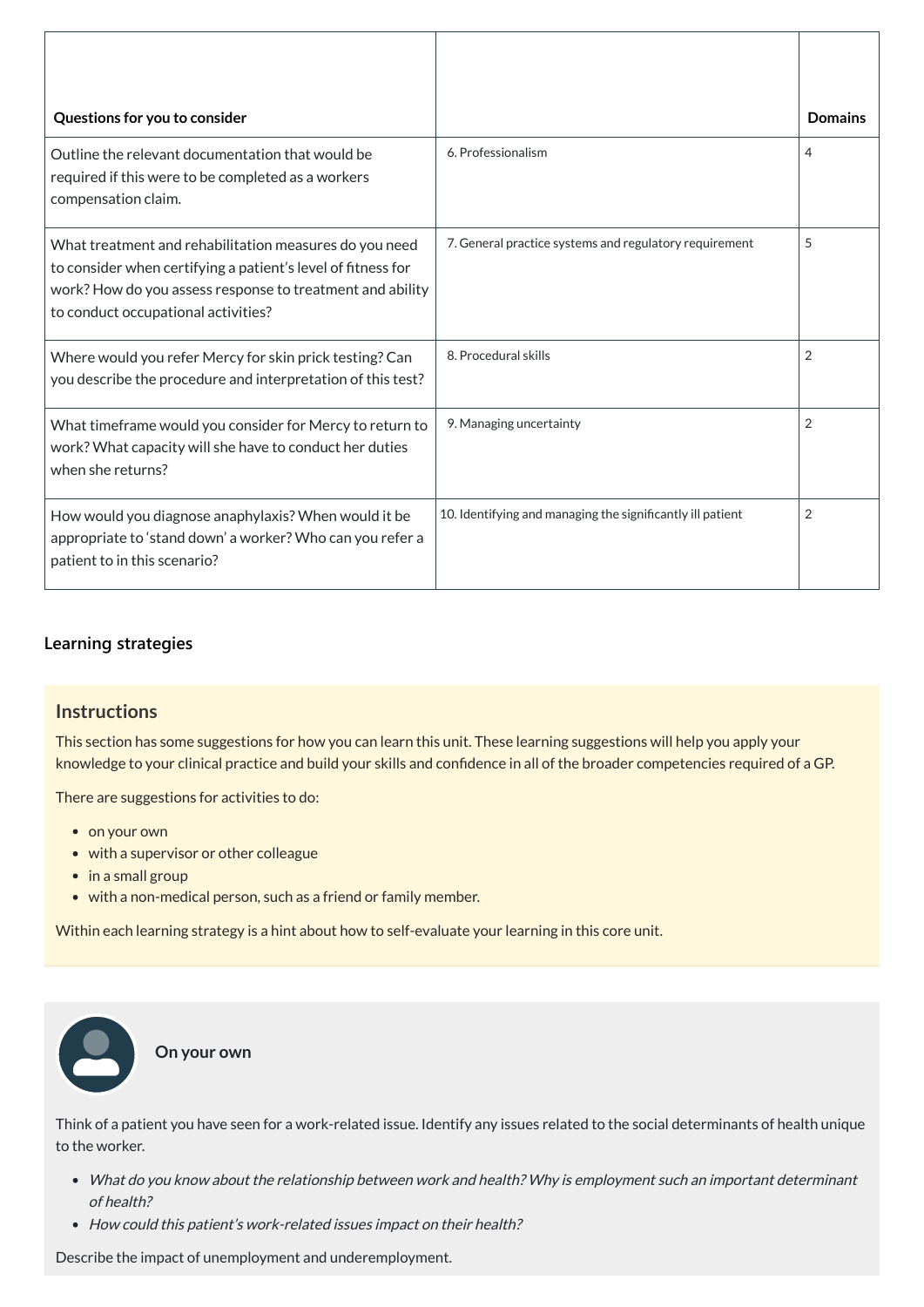| Questions for you to consider                                                                                                                                                                                              |                                                            | <b>Domains</b> |
|----------------------------------------------------------------------------------------------------------------------------------------------------------------------------------------------------------------------------|------------------------------------------------------------|----------------|
| Outline the relevant documentation that would be<br>required if this were to be completed as a workers<br>compensation claim.                                                                                              | 6. Professionalism                                         | 4              |
| What treatment and rehabilitation measures do you need<br>to consider when certifying a patient's level of fitness for<br>work? How do you assess response to treatment and ability<br>to conduct occupational activities? | 7. General practice systems and regulatory requirement     | 5              |
| Where would you refer Mercy for skin prick testing? Can<br>you describe the procedure and interpretation of this test?                                                                                                     | 8. Procedural skills                                       | $\overline{2}$ |
| What timeframe would you consider for Mercy to return to<br>work? What capacity will she have to conduct her duties<br>when she returns?                                                                                   | 9. Managing uncertainty                                    | $\overline{2}$ |
| How would you diagnose anaphylaxis? When would it be<br>appropriate to 'stand down' a worker? Who can you refer a<br>patient to in this scenario?                                                                          | 10. Identifying and managing the significantly ill patient | $\overline{2}$ |

- What do you know about the relationship between work and health? Why is employment such an important determinant of health?
- How could this patient's work-related issues impact on their health?

## **[Learning strategies](javascript:void(0))**

#### **Instructions**

This section has some suggestions for how you can learn this unit. These learning suggestions will help you apply your knowledge to your clinical practice and build your skills and confidence in all of the broader competencies required of a GP.

There are suggestions for activities to do:

- on your own
- with a supervisor or other colleague
- $\bullet$  in a small group
- with a non-medical person, such as a friend or family member.

Within each learning strategy is a hint about how to self-evaluate your learning in this core unit.

Think of a patient you have seen for a work-related issue. Identify any issues related to the social determinants of health unique to the worker.



Describe the impact of unemployment and underemployment.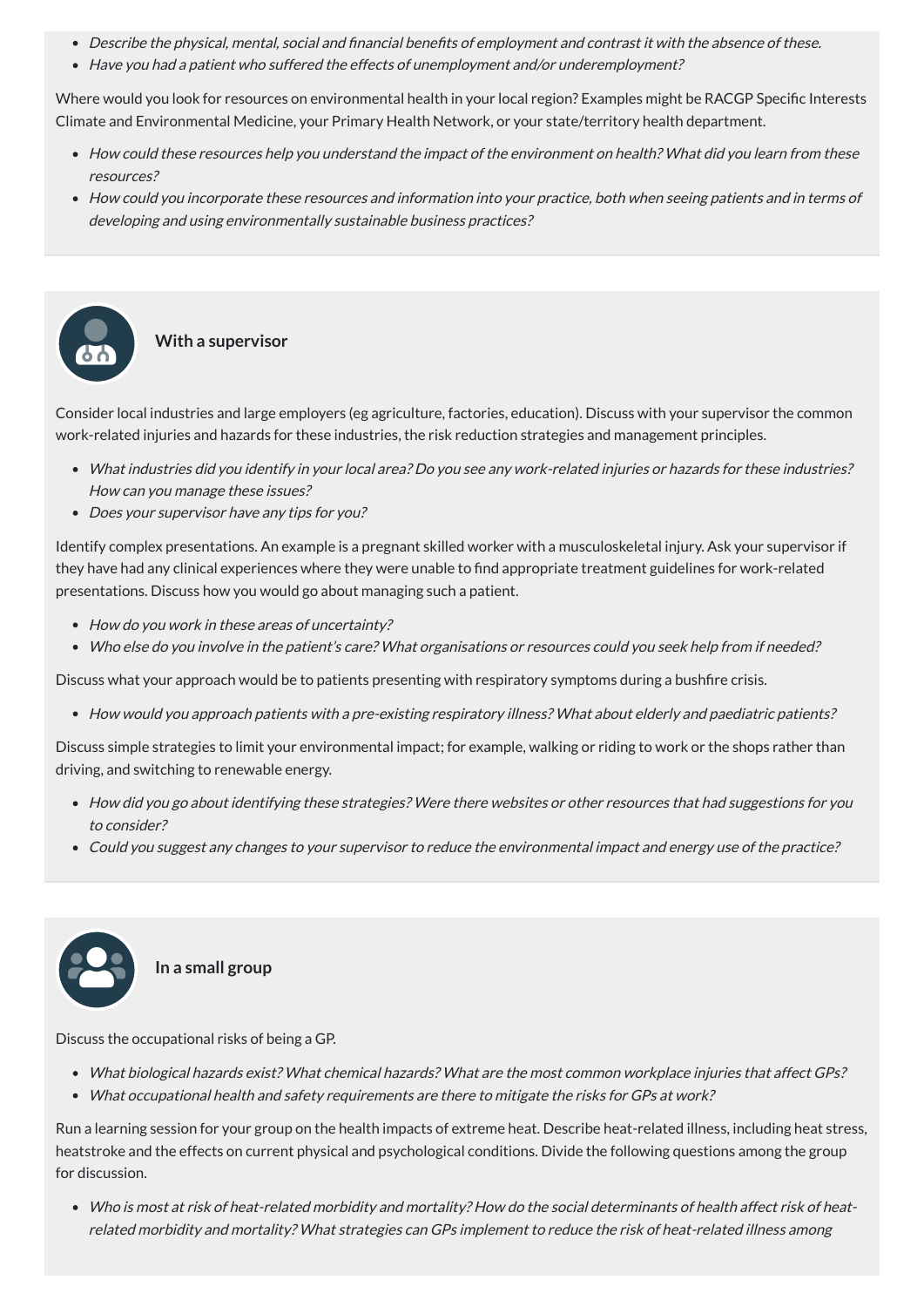- Describe the physical, mental, social and financial benefits of employment and contrast it with the absence of these.
- Have you had <sup>a</sup> patient who suffered the effects of unemployment and/or underemployment?

Where would you look for resources on environmental health in your local region? Examples might be RACGP Specific Interests Climate and Environmental Medicine, your Primary Health Network, or your state/territory health department.

- What industries did you identify in your local area? Do you see any work-related injuries or hazards for these industries? How can you manage these issues?
- Does your supervisor have any tips for you?
- How could these resources help you understand the impact of the environment on health? What did you learn from these resources?
- How could you incorporate these resources and information into your practice, both when seeing patients and in terms of developing and using environmentally sustainable business practices?

- How do you work in these areas of uncertainty?
- Who else do you involve in the patient's care? What organisations or resources could you seek help from if needed?

Consider local industries and large employers (eg agriculture, factories, education). Discuss with your supervisor the common work-related injuries and hazards for these industries, the risk reduction strategies and management principles.

Identify complex presentations. An example is a pregnant skilled worker with a musculoskeletal injury. Ask your supervisor if they have had any clinical experiences where they were unable to find appropriate treatment guidelines for work-related presentations. Discuss how you would go about managing such a patient.

Discuss what your approach would be to patients presenting with respiratory symptoms during a bushfire crisis.

How would you approach patients with <sup>a</sup> pre-existing respiratory illness? What about elderly and paediatric patients?



**With a supervisor**

Discuss simple strategies to limit your environmental impact; for example, walking or riding to work or the shops rather than driving, and switching to renewable energy.

- How did you go about identifying these strategies? Were there websites or other resources that had suggestions for you to consider?
- Could you suggest any changes to your supervisor to reduce the environmental impact and energy use of the practice?



Discuss the occupational risks of being a GP.

- What biological hazards exist? What chemical hazards? What are the most common workplace injuries that affect GPs?
- What occupational health and safety requirements are there to mitigate the risks for GPs at work?

Run a learning session for your group on the health impacts of extreme heat. Describe heat-related illness, including heat stress, heatstroke and the effects on current physical and psychological conditions. Divide the following questions among the group for discussion.

Who is most at risk of heat-related morbidity and mortality? How do the social determinants of health affect risk of heatrelated morbidity and mortality? What strategies can GPs implement to reduce the risk of heat-related illness among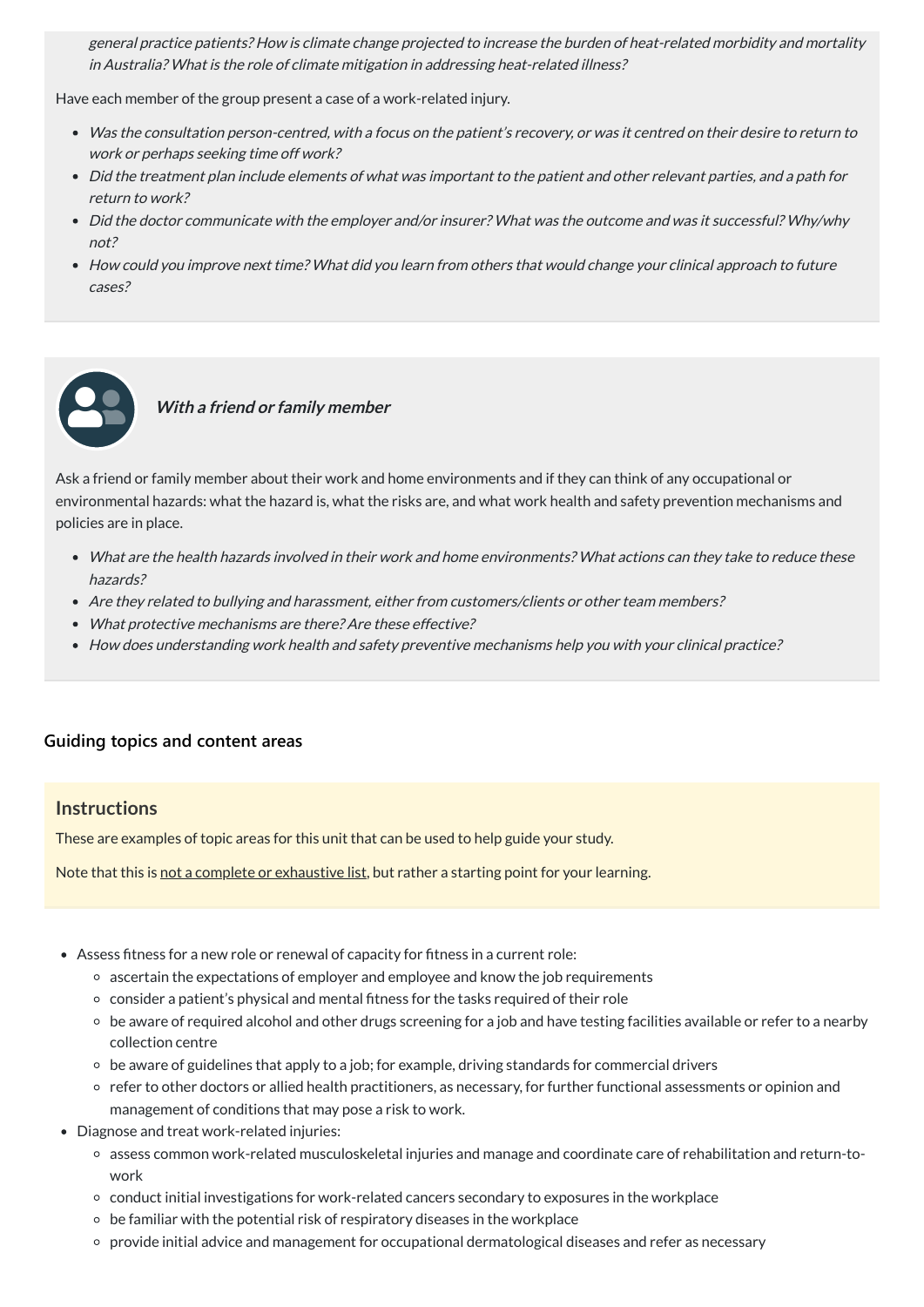general practice patients? How is climate change projected to increase the burden of heat-related morbidity and mortality in Australia? What is the role of climate mitigation in addressing heat-related illness?

Have each member of the group present a case of a work-related injury.

- Was the consultation person-centred, with <sup>a</sup> focus on the patient's recovery, or was it centred on their desire to return to work or perhaps seeking time off work?
- Did the treatment plan include elements of what was important to the patient and other relevant parties, and <sup>a</sup> path for return to work?
- Did the doctor communicate with the employer and/or insurer? What was the outcome and was it successful? Why/why not?
- How could you improve next time? What did you learn from others that would change your clinical approach to future cases?



#### **With <sup>a</sup> friend or family member**

Ask a friend or family member about their work and home environments and if they can think of any occupational or environmental hazards: what the hazard is, what the risks are, and what work health and safety prevention mechanisms and policies are in place.

- What are the health hazards involved in their work and home environments? What actions can they take to reduce these hazards?
- Are they related to bullying and harassment, either from customers/clients or other team members?
- What protective mechanisms are there? Are these effective?
- How does understanding work health and safety preventive mechanisms help you with your clinical practice?

### **[Guiding topics and content areas](javascript:void(0))**

#### **Instructions**

These are examples of topic areas for this unit that can be used to help guide your study.

Note that this is not a complete or exhaustive list, but rather a starting point for your learning.

- Assess fitness for a new role or renewal of capacity for fitness in a current role:
	- ascertain the expectations of employer and employee and know the job requirements
	- o consider a patient's physical and mental fitness for the tasks required of their role
	- be aware of required alcohol and other drugs screening for a job and have testing facilities available or refer to a nearby collection centre
	- be aware of guidelines that apply to a job; for example, driving standards for commercial drivers
	- refer to other doctors or allied health practitioners, as necessary, for further functional assessments or opinion and management of conditions that may pose a risk to work.
- Diagnose and treat work-related injuries:
	- assess common work-related musculoskeletal injuries and manage and coordinate care of rehabilitation and return-towork
	- conduct initial investigations for work-related cancers secondary to exposures in the workplace
	- $\circ$  be familiar with the potential risk of respiratory diseases in the workplace
	- provide initial advice and management for occupational dermatological diseases and refer as necessary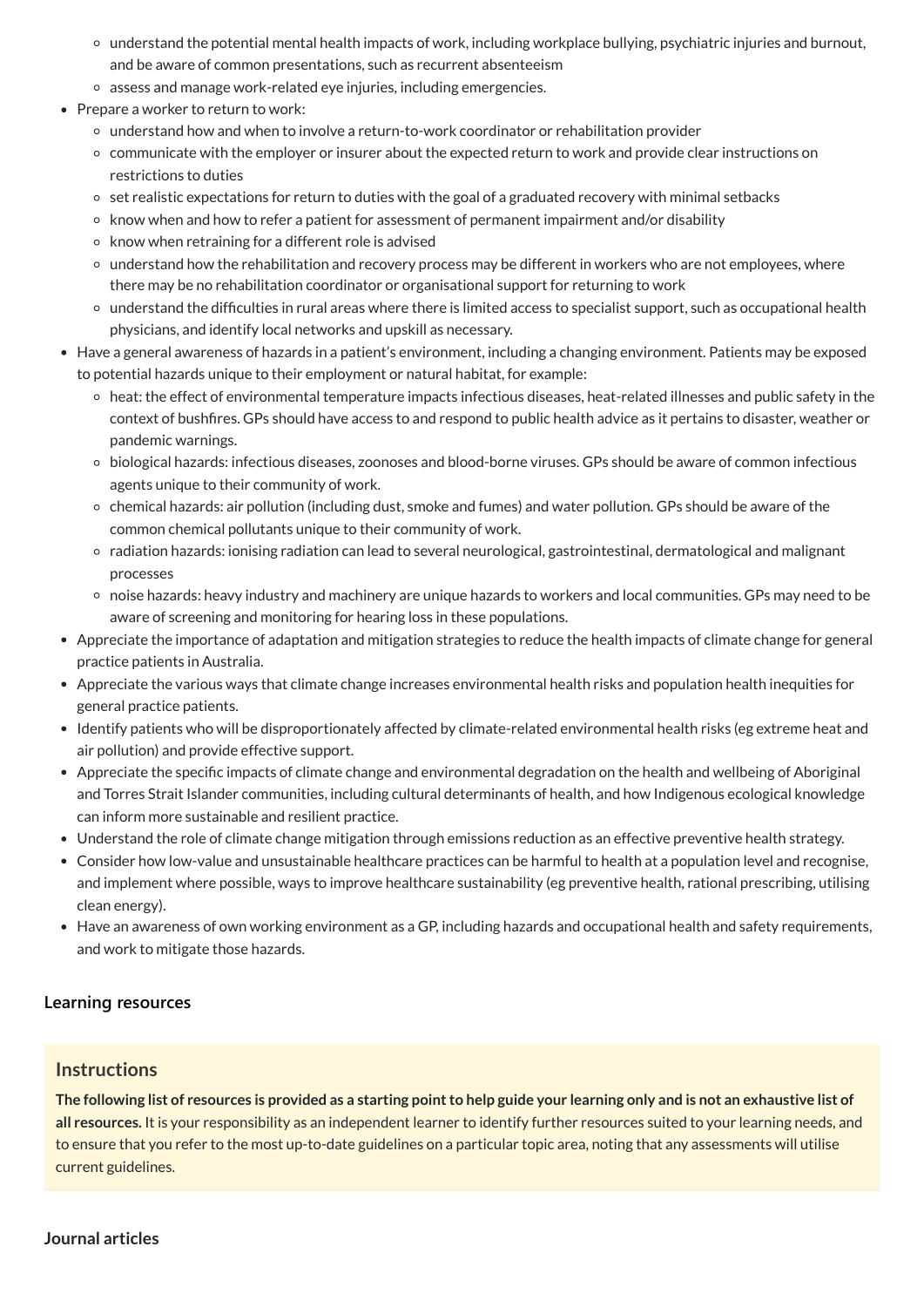- understand the potential mental health impacts of work, including workplace bullying, psychiatric injuries and burnout, and be aware of common presentations, such as recurrent absenteeism
- assess and manage work-related eye injuries, including emergencies.
- Prepare a worker to return to work:
	- understand how and when to involve a return-to-work coordinator or rehabilitation provider
	- communicate with the employer or insurer about the expected return to work and provide clear instructions on restrictions to duties
	- o set realistic expectations for return to duties with the goal of a graduated recovery with minimal setbacks
	- $\circ$  know when and how to refer a patient for assessment of permanent impairment and/or disability
	- $\circ$  know when retraining for a different role is advised
	- understand how the rehabilitation and recovery process may be different in workers who are not employees, where there may be no rehabilitation coordinator or organisational support for returning to work
	- understand the difficulties in rural areas where there is limited access to specialist support, such as occupational health physicians, and identify local networks and upskill as necessary.
- Have a general awareness of hazards in a patient's environment, including a changing environment. Patients may be exposed to potential hazards unique to their employment or natural habitat, for example:
	- heat: the effect of environmental temperature impacts infectious diseases, heat-related illnesses and public safety in the context of bushfires. GPs should have access to and respond to public health advice as it pertains to disaster, weather or pandemic warnings.
	- biological hazards: infectious diseases, zoonoses and blood-borne viruses. GPs should be aware of common infectious agents unique to their community of work.
	- chemical hazards: air pollution (including dust, smoke and fumes) and water pollution. GPs should be aware of the common chemical pollutants unique to their community of work.
	- radiation hazards: ionising radiation can lead to several neurological, gastrointestinal, dermatological and malignant processes
	- noise hazards: heavy industry and machinery are unique hazards to workers and local communities. GPs may need to be aware of screening and monitoring for hearing loss in these populations.
- Appreciate the importance of adaptation and mitigation strategies to reduce the health impacts of climate change for general practice patients in Australia.
- Appreciate the various ways that climate change increases environmental health risks and population health inequities for general practice patients.
- Identify patients who will be disproportionately affected by climate-related environmental health risks (eg extreme heat and air pollution) and provide effective support.
- Appreciate the specific impacts of climate change and environmental degradation on the health and wellbeing of Aboriginal and Torres Strait Islander communities, including cultural determinants of health, and how Indigenous ecological knowledge can inform more sustainable and resilient practice.
- Understand the role of climate change mitigation through emissions reduction as an effective preventive health strategy.
- Consider how low-value and unsustainable healthcare practices can be harmful to health at a population level and recognise, and implement where possible, ways to improve healthcare sustainability (eg preventive health, rational prescribing, utilising clean energy).
- Have an awareness of own working environment as a GP, including hazards and occupational health and safety requirements, and work to mitigate those hazards.

The following list of resources is provided as a starting point to help guide your learning only and is not an exhaustive list of **all resources.** It is your responsibility as an independent learner to identify further resources suited to your learning needs, and to ensure that you refer to the most up-to-date guidelines on a particular topic area, noting that any assessments will utilise current guidelines.

#### **[Learning resources](javascript:void(0))**

#### **Instructions**

**Journal articles**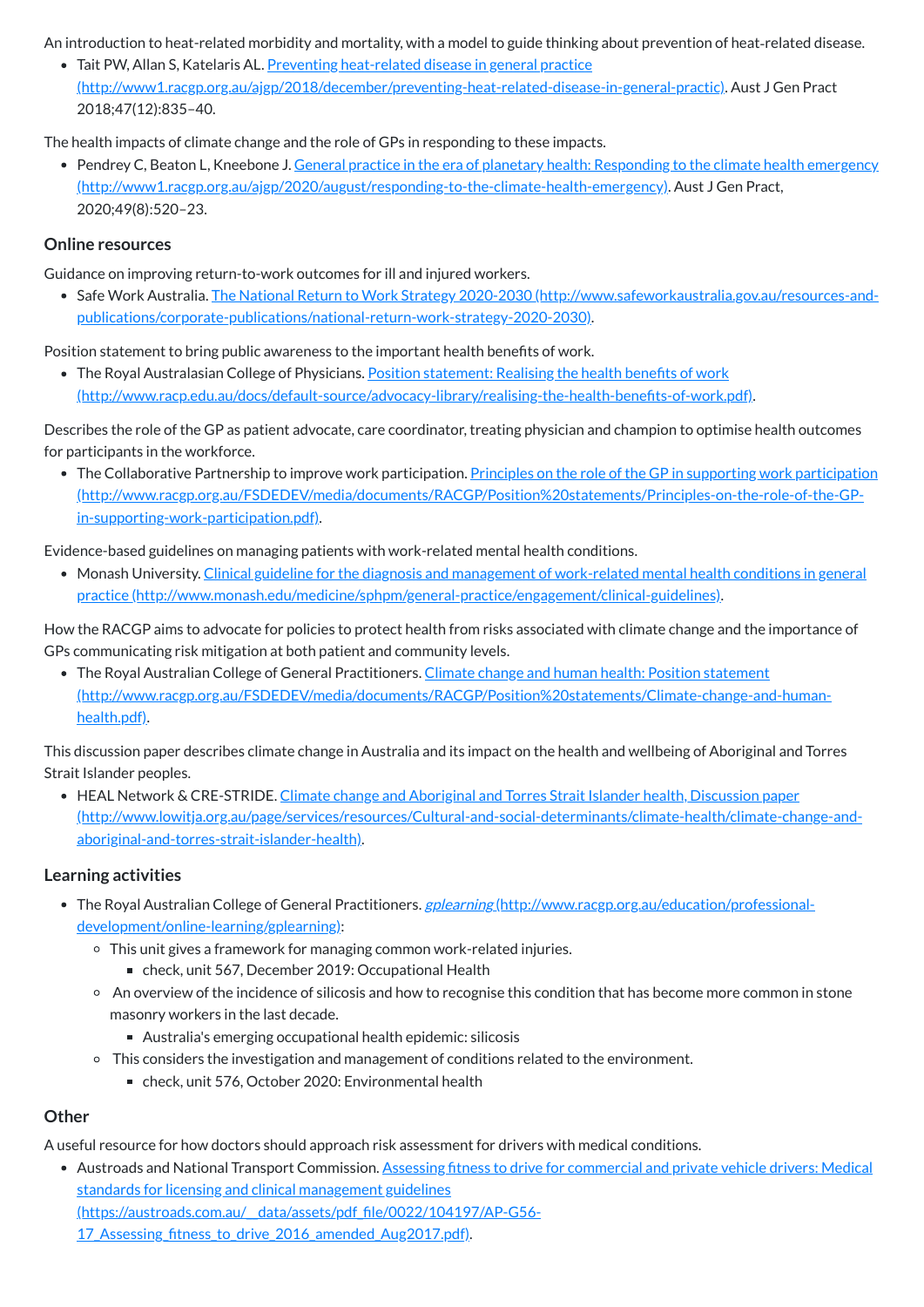An introduction to heat-related morbidity and mortality, with a model to guide thinking about prevention of heat-related disease.

• Tait PW, Allan S, Katelaris AL. Preventing heat-related disease in general practice [\(http://www1.racgp.org.au/ajgp/2018/december/preventing-heat-related-disease-in-general-practic\).](http://www1.racgp.org.au/ajgp/2018/december/preventing-heat-related-disease-in-general-practic) Aust J Gen Pract 2018;47(12):835–40.

• Pendrey C, Beaton L, Kneebone J. General practice in the era of planetary health: Responding to the climate health emergency [\(http://www1.racgp.org.au/ajgp/2020/august/responding-to-the-climate-health-emergency\).](http://www1.racgp.org.au/ajgp/2020/august/responding-to-the-climate-health-emergency) Aust J Gen Pract, 2020;49(8):520–23.

The health impacts of climate change and the role of GPs in responding to these impacts.

• Safe Work Australia. The National Return to Work Strategy 2020-2030 (http://www.safeworkaustralia.gov.au/resources-and[publications/corporate-publications/national-return-work-strategy-2020-2030\).](http://www.safeworkaustralia.gov.au/resources-and-publications/corporate-publications/national-return-work-strategy-2020-2030)

• The Royal Australasian College of Physicians. Position statement: Realising the health benefits of work [\(http://www.racp.edu.au/docs/default-source/advocacy-library/realising-the-health-benefits-of-work.pdf\).](http://www.racp.edu.au/docs/default-source/advocacy-library/realising-the-health-benefits-of-work.pdf)

#### **Online resources**

Guidance on improving return-to-work outcomes for ill and injured workers.

• The Collaborative Partnership to improve work participation. Principles on the role of the GP in supporting work participation [\(http://www.racgp.org.au/FSDEDEV/media/documents/RACGP/Position%20statements/Principles-on-the-role-of-the-GP](http://www.racgp.org.au/FSDEDEV/media/documents/RACGP/Position%20statements/Principles-on-the-role-of-the-GP-in-supporting-work-participation.pdf)in-supporting-work-participation.pdf).

Position statement to bring public awareness to the important health benefits of work.

• The Royal Australian College of General Practitioners. Climate change and human health: Position statement [\(http://www.racgp.org.au/FSDEDEV/media/documents/RACGP/Position%20statements/Climate-change-and-human](http://www.racgp.org.au/FSDEDEV/media/documents/RACGP/Position%20statements/Climate-change-and-human-health.pdf)health.pdf).

Describes the role of the GP as patient advocate, care coordinator, treating physician and champion to optimise health outcomes for participants in the workforce.

• HEAL Network & CRE-STRIDE. Climate change and Aboriginal and Torres Strait Islander health, Discussion paper [\(http://www.lowitja.org.au/page/services/resources/Cultural-and-social-determinants/climate-health/climate-change-and](http://www.lowitja.org.au/page/services/resources/Cultural-and-social-determinants/climate-health/climate-change-and-aboriginal-and-torres-strait-islander-health)aboriginal-and-torres-strait-islander-health).

Evidence-based guidelines on managing patients with work-related mental health conditions.

- The Royal Australian College of General Practitioners. gplearning [\(http://www.racgp.org.au/education/professional](http://www.racgp.org.au/education/professional-development/online-learning/gplearning)development/online-learning/gplearning):
	- This unit gives a framework for managing common work-related injuries.
		- check, unit 567, December 2019: Occupational Health
	- An overview of the incidence of silicosis and how to recognise this condition that has become more common in stone masonry workers in the last decade.
		- Australia's emerging occupational health epidemic: silicosis
	- <sup>o</sup> This considers the investigation and management of conditions related to the environment.
		- check, unit 576, October 2020: Environmental health

Monash University. Clinical guideline for the diagnosis and management of work-related mental health conditions in general practice [\(http://www.monash.edu/medicine/sphpm/general-practice/engagement/clinical-guidelines\).](http://www.monash.edu/medicine/sphpm/general-practice/engagement/clinical-guidelines)

How the RACGP aims to advocate for policies to protect health from risks associated with climate change and the importance of GPs communicating risk mitigation at both patient and community levels.

This discussion paper describes climate change in Australia and its impact on the health and wellbeing of Aboriginal and Torres Strait Islander peoples.

#### **Learning activities**

#### **Other**

A useful resource for how doctors should approach risk assessment for drivers with medical conditions.

Austroads and National Transport Commission. Assessing fitness to drive for commercial and private vehicle drivers: Medical standards for licensing and clinical management guidelines

[\(https://austroads.com.au/\\_\\_data/assets/pdf\\_file/0022/104197/AP-G56-](https://austroads.com.au/__data/assets/pdf_file/0022/104197/AP-G56-17_Assessing_fitness_to_drive_2016_amended_Aug2017.pdf)

17 Assessing fitness to drive 2016 amended Aug2017.pdf).